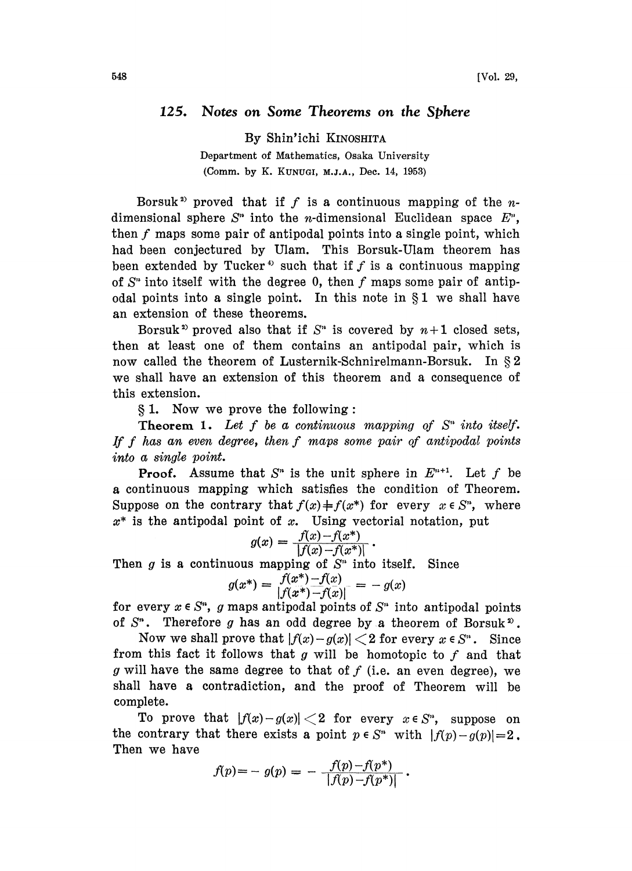## 125. Notes on Some Theorems on the Sphere

By Shin'ichi KINOSHITA Department of Mathematics, Osaka University (Comm. by K. KUNUGI, M.J.A., Dec. 14, 1953)

Borsuk<sup>2</sup> proved that if f is a continuous mapping of the  $n$ dimensional sphere  $S<sup>n</sup>$  into the *n*-dimensional Euclidean space  $E<sup>n</sup>$ , then  $f$  maps some pair of antipodal points into a single point, which had been conjectured by Ulam. This Borsuk-Ulam theorem has been extended by Tucker<sup>4</sup> such that if  $f$  is a continuous mapping of  $S<sup>n</sup>$  into itself with the degree 0, then f maps some pair of antipodal points into a single point. In this note in  $\S1$  we shall have an extension of these theorems.

Borsuk<sup>2</sup> proved also that if  $S<sup>n</sup>$  is covered by  $n+1$  closed sets, then at least one of them contains an antipodal pair, which is now called the theorem of Lusternik-Schnirelmann-Borsuk. In  $\S 2$ we shall have an extension of this theorem and a consequence of this extension.

1. Now we prove the following:

**Theorem 1.** Let f be a continuous mapping of  $S<sup>n</sup>$  into itself. If f has an even degree, then  $f$  maps some pair of antipodal points into a single point.

**Proof.** Assume that  $S<sup>n</sup>$  is the unit sphere in  $E<sup>n+1</sup>$ . Let f be a continuous mapping which satisfies the condition of Theorem. Suppose on the contrary that  $f(x) \neq f(x^*)$  for every  $x \in S^n$ , where  $x^*$  is the antipodal point of x. Using vectorial notation, put

$$
g(x) = \frac{f(x) - f(x^*)}{|f(x) - f(x^*)|}.
$$

Then  $g$  is a continuous mapping of  $S<sup>n</sup>$  into itself. Since

$$
g(x^*) = \frac{f(x^*) - f(x)}{|f(x^*) - f(x)|} = -g(x)
$$

for every  $x \in S^n$ , g maps antipodal points of  $S^n$  into antipodal points of  $S<sup>n</sup>$ . Therefore g has an odd degree by a theorem of Borsuk<sup>2</sup>.

Now we shall prove that  $|f(x)-g(x)| < 2$  for every  $x \in S<sup>n</sup>$ . Since from this fact it follows that g will be homotopic to  $f$  and that g will have the same degree to that of  $f$  (i.e. an even degree), we shall have a contradiction, and the proof of Theorem will be complete.

To prove that  $|f(x)-g(x)| < 2$  for every  $x \in S^n$ , suppose on the contrary that there exists a point  $p \in S^n$  with  $|f(p)-g(p)|=2$ . Then we have

$$
f(p) = - g(p) = - \frac{f(p) - f(p^*)}{|f(p) - f(p^*)|}.
$$